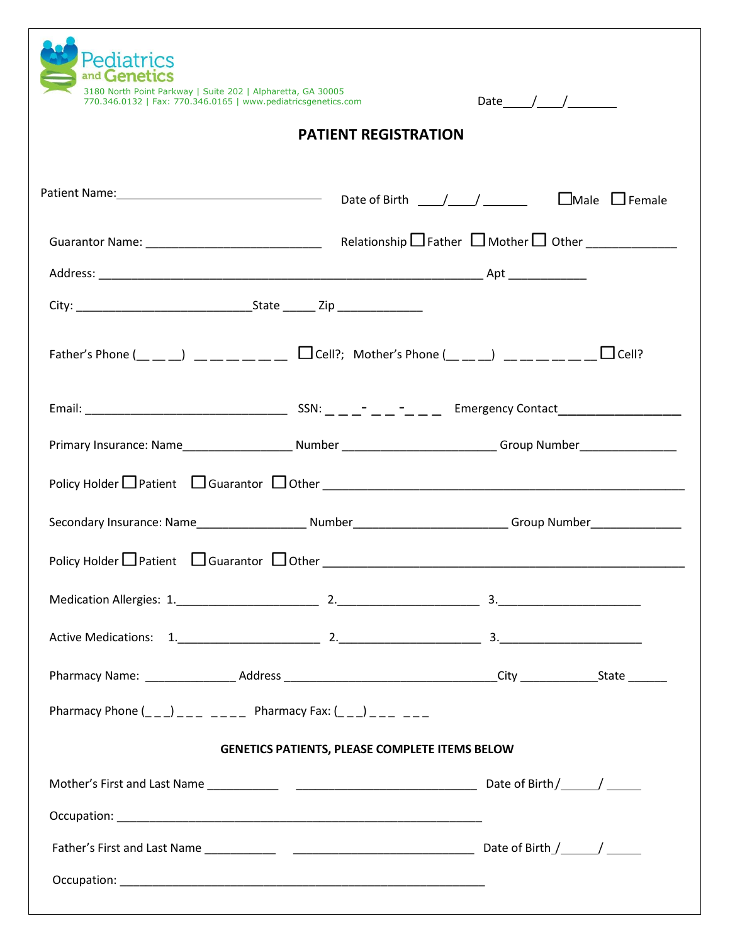| Pediatrics<br>and Genetics<br>3180 North Point Parkway   Suite 202   Alpharetta, GA 30005<br>770.346.0132   Fax: 770.346.0165   www.pediatricsgenetics.com                          |                                                       | Date $/$ / |
|-------------------------------------------------------------------------------------------------------------------------------------------------------------------------------------|-------------------------------------------------------|------------|
|                                                                                                                                                                                     | <b>PATIENT REGISTRATION</b>                           |            |
| Patient Name: <u>Name:</u> Cate of Birth (Name 1) Female (Name 2) Female                                                                                                            |                                                       |            |
|                                                                                                                                                                                     |                                                       |            |
|                                                                                                                                                                                     |                                                       |            |
|                                                                                                                                                                                     |                                                       |            |
|                                                                                                                                                                                     |                                                       |            |
|                                                                                                                                                                                     |                                                       |            |
| Primary Insurance: Name__________________________Number ______________________________Group Number____________                                                                      |                                                       |            |
|                                                                                                                                                                                     |                                                       |            |
| Secondary Insurance: Name__________________________Number_____________________________Group Number____________                                                                      |                                                       |            |
| Policy Holder $\Box$ Patient $\Box$ Guarantor $\Box$ Other                                                                                                                          |                                                       |            |
|                                                                                                                                                                                     |                                                       |            |
|                                                                                                                                                                                     |                                                       |            |
|                                                                                                                                                                                     |                                                       |            |
| Pharmacy Phone $\begin{pmatrix} 0 & 0 \\ 0 & -1 \end{pmatrix}$ = $\begin{pmatrix} 0 & -1 \\ -1 & -1 \end{pmatrix}$ = Pharmacy Fax: $\begin{pmatrix} 0 & 0 \\ -1 & -1 \end{pmatrix}$ |                                                       |            |
|                                                                                                                                                                                     | <b>GENETICS PATIENTS, PLEASE COMPLETE ITEMS BELOW</b> |            |
|                                                                                                                                                                                     |                                                       |            |
|                                                                                                                                                                                     |                                                       |            |
|                                                                                                                                                                                     |                                                       |            |
|                                                                                                                                                                                     |                                                       |            |